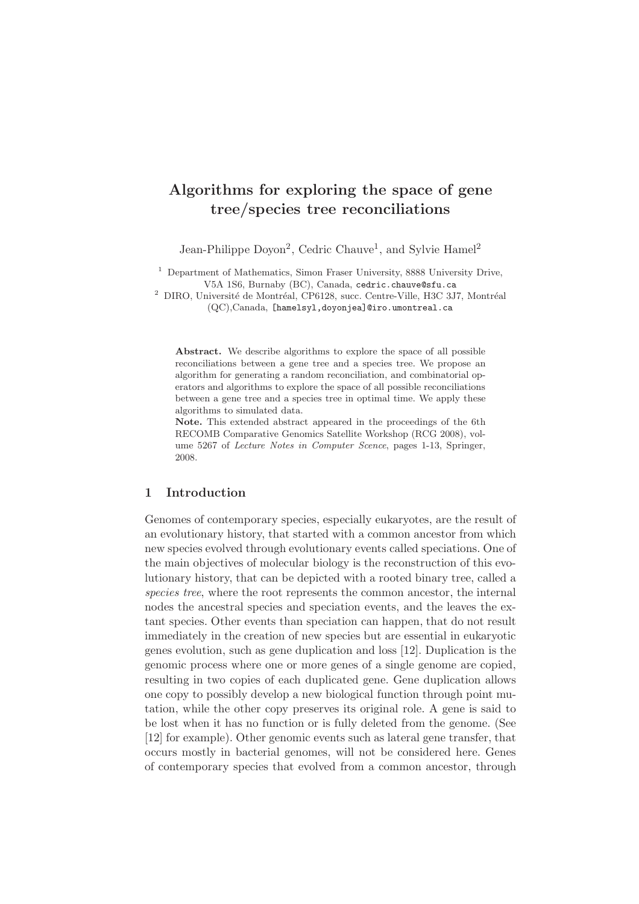# Algorithms for exploring the space of gene tree/species tree reconciliations

Jean-Philippe Doyon<sup>2</sup>, Cedric Chauve<sup>1</sup>, and Sylvie Hamel<sup>2</sup>

<sup>1</sup> Department of Mathematics, Simon Fraser University, 8888 University Drive, V5A 1S6, Burnaby (BC), Canada, cedric.chauve@sfu.ca

 $2$  DIRO, Université de Montréal, CP6128, succ. Centre-Ville, H3C 3J7, Montréal (QC),Canada, [hamelsyl,doyonjea]@iro.umontreal.ca

Abstract. We describe algorithms to explore the space of all possible reconciliations between a gene tree and a species tree. We propose an algorithm for generating a random reconciliation, and combinatorial operators and algorithms to explore the space of all possible reconciliations between a gene tree and a species tree in optimal time. We apply these algorithms to simulated data.

Note. This extended abstract appeared in the proceedings of the 6th RECOMB Comparative Genomics Satellite Workshop (RCG 2008), volume 5267 of Lecture Notes in Computer Scence, pages 1-13, Springer, 2008.

# 1 Introduction

Genomes of contemporary species, especially eukaryotes, are the result of an evolutionary history, that started with a common ancestor from which new species evolved through evolutionary events called speciations. One of the main objectives of molecular biology is the reconstruction of this evolutionary history, that can be depicted with a rooted binary tree, called a species tree, where the root represents the common ancestor, the internal nodes the ancestral species and speciation events, and the leaves the extant species. Other events than speciation can happen, that do not result immediately in the creation of new species but are essential in eukaryotic genes evolution, such as gene duplication and loss [12]. Duplication is the genomic process where one or more genes of a single genome are copied, resulting in two copies of each duplicated gene. Gene duplication allows one copy to possibly develop a new biological function through point mutation, while the other copy preserves its original role. A gene is said to be lost when it has no function or is fully deleted from the genome. (See [12] for example). Other genomic events such as lateral gene transfer, that occurs mostly in bacterial genomes, will not be considered here. Genes of contemporary species that evolved from a common ancestor, through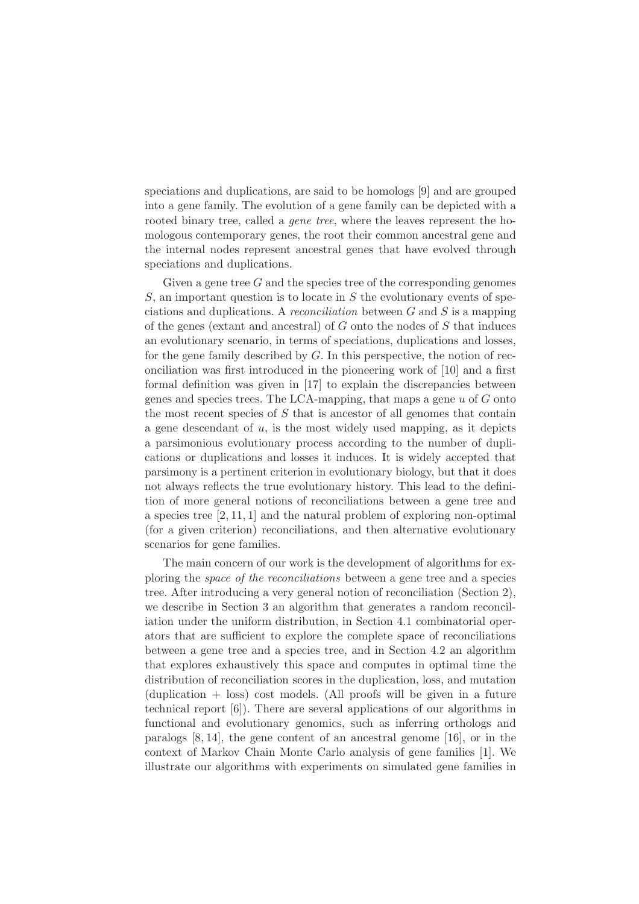speciations and duplications, are said to be homologs [9] and are grouped into a gene family. The evolution of a gene family can be depicted with a rooted binary tree, called a *gene tree*, where the leaves represent the homologous contemporary genes, the root their common ancestral gene and the internal nodes represent ancestral genes that have evolved through speciations and duplications.

Given a gene tree  $G$  and the species tree of the corresponding genomes  $S$ , an important question is to locate in S the evolutionary events of speciations and duplications. A reconciliation between  $G$  and  $S$  is a mapping of the genes (extant and ancestral) of  $G$  onto the nodes of  $S$  that induces an evolutionary scenario, in terms of speciations, duplications and losses, for the gene family described by  $G$ . In this perspective, the notion of reconciliation was first introduced in the pioneering work of [10] and a first formal definition was given in [17] to explain the discrepancies between genes and species trees. The LCA-mapping, that maps a gene  $u$  of  $G$  onto the most recent species of  $S$  that is ancestor of all genomes that contain a gene descendant of  $u$ , is the most widely used mapping, as it depicts a parsimonious evolutionary process according to the number of duplications or duplications and losses it induces. It is widely accepted that parsimony is a pertinent criterion in evolutionary biology, but that it does not always reflects the true evolutionary history. This lead to the definition of more general notions of reconciliations between a gene tree and a species tree [2, 11, 1] and the natural problem of exploring non-optimal (for a given criterion) reconciliations, and then alternative evolutionary scenarios for gene families.

The main concern of our work is the development of algorithms for exploring the space of the reconciliations between a gene tree and a species tree. After introducing a very general notion of reconciliation (Section 2), we describe in Section 3 an algorithm that generates a random reconciliation under the uniform distribution, in Section 4.1 combinatorial operators that are sufficient to explore the complete space of reconciliations between a gene tree and a species tree, and in Section 4.2 an algorithm that explores exhaustively this space and computes in optimal time the distribution of reconciliation scores in the duplication, loss, and mutation  $(duplication + loss)$  cost models. (All proofs will be given in a future technical report [6]). There are several applications of our algorithms in functional and evolutionary genomics, such as inferring orthologs and paralogs [8, 14], the gene content of an ancestral genome [16], or in the context of Markov Chain Monte Carlo analysis of gene families [1]. We illustrate our algorithms with experiments on simulated gene families in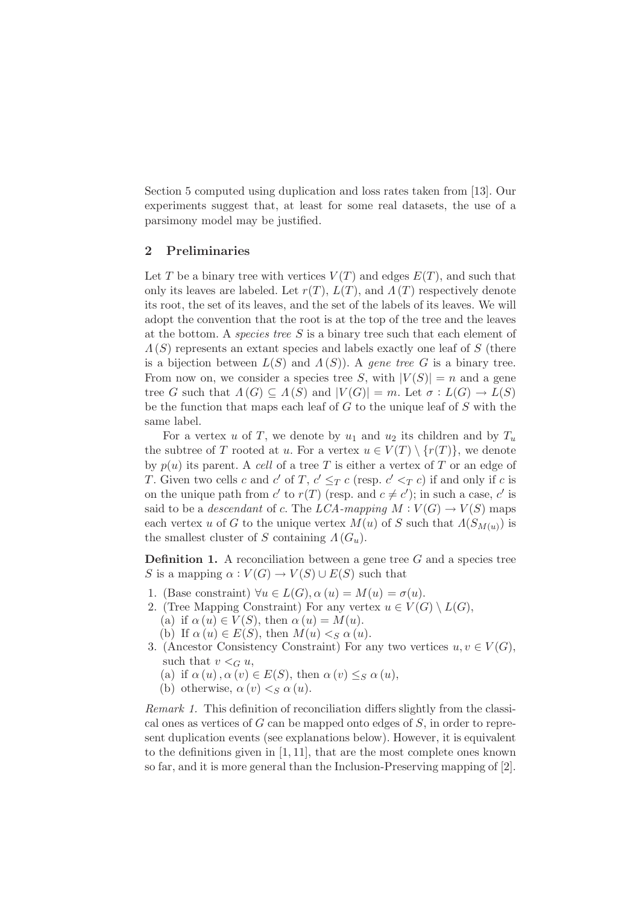Section 5 computed using duplication and loss rates taken from [13]. Our experiments suggest that, at least for some real datasets, the use of a parsimony model may be justified.

# 2 Preliminaries

Let T be a binary tree with vertices  $V(T)$  and edges  $E(T)$ , and such that only its leaves are labeled. Let  $r(T)$ ,  $L(T)$ , and  $\Lambda(T)$  respectively denote its root, the set of its leaves, and the set of the labels of its leaves. We will adopt the convention that the root is at the top of the tree and the leaves at the bottom. A *species tree*  $S$  is a binary tree such that each element of  $\Lambda(S)$  represents an extant species and labels exactly one leaf of S (there is a bijection between  $L(S)$  and  $\Lambda(S)$ ). A gene tree G is a binary tree. From now on, we consider a species tree S, with  $|V(S)| = n$  and a gene tree G such that  $\Lambda(G) \subseteq \Lambda(S)$  and  $|V(G)| = m$ . Let  $\sigma : L(G) \to L(S)$ be the function that maps each leaf of  $G$  to the unique leaf of  $S$  with the same label.

For a vertex u of T, we denote by  $u_1$  and  $u_2$  its children and by  $T_u$ the subtree of T rooted at u. For a vertex  $u \in V(T) \setminus \{r(T)\}\,$ , we denote by  $p(u)$  its parent. A cell of a tree T is either a vertex of T or an edge of T. Given two cells c and c' of T,  $c' \leq_T c$  (resp.  $c' <_T c$ ) if and only if c is on the unique path from  $c'$  to  $r(T)$  (resp. and  $c \neq c'$ ); in such a case,  $c'$  is said to be a *descendant* of c. The LCA-mapping  $M: V(G) \to V(S)$  maps each vertex u of G to the unique vertex  $M(u)$  of S such that  $\Lambda(S_{M(u)})$  is the smallest cluster of S containing  $\Lambda(G_u)$ .

**Definition 1.** A reconciliation between a gene tree  $G$  and a species tree S is a mapping  $\alpha: V(G) \to V(S) \cup E(S)$  such that

- 1. (Base constraint)  $\forall u \in L(G)$ ,  $\alpha(u) = M(u) = \sigma(u)$ .
- 2. (Tree Mapping Constraint) For any vertex  $u \in V(G) \setminus L(G)$ ,
	- (a) if  $\alpha(u) \in V(S)$ , then  $\alpha(u) = M(u)$ .
	- (b) If  $\alpha(u) \in E(S)$ , then  $M(u) \leq_S \alpha(u)$ .
- 3. (Ancestor Consistency Constraint) For any two vertices  $u, v \in V(G)$ , such that  $v <_G u$ ,
	- (a) if  $\alpha(u)$ ,  $\alpha(v) \in E(S)$ , then  $\alpha(v) \leq_S \alpha(u)$ ,
	- (b) otherwise,  $\alpha(v) < S \alpha(u)$ .

Remark 1. This definition of reconciliation differs slightly from the classical ones as vertices of  $G$  can be mapped onto edges of  $S$ , in order to represent duplication events (see explanations below). However, it is equivalent to the definitions given in [1, 11], that are the most complete ones known so far, and it is more general than the Inclusion-Preserving mapping of [2].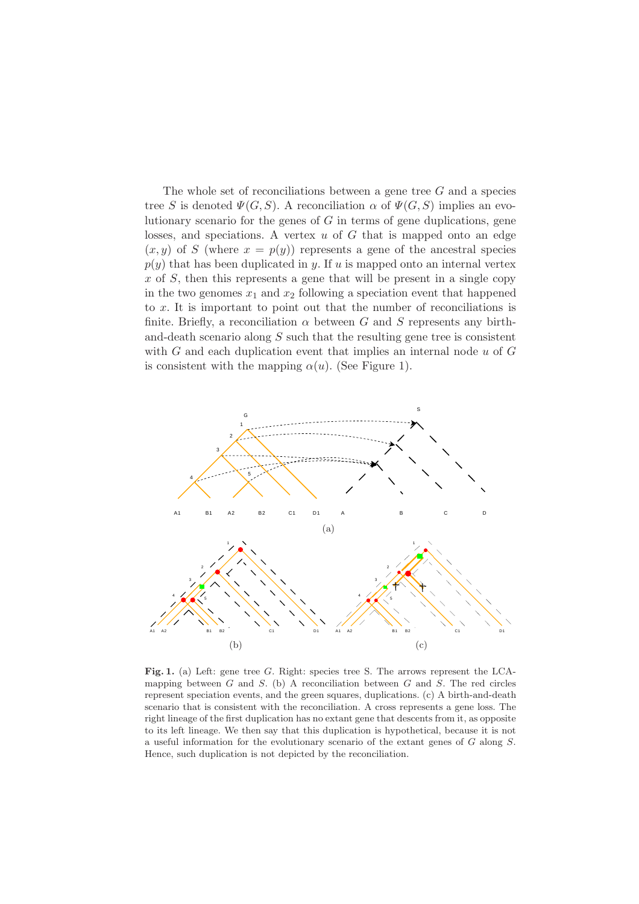The whole set of reconciliations between a gene tree  $G$  and a species tree S is denoted  $\Psi(G, S)$ . A reconciliation  $\alpha$  of  $\Psi(G, S)$  implies an evolutionary scenario for the genes of  $G$  in terms of gene duplications, gene losses, and speciations. A vertex  $u$  of  $G$  that is mapped onto an edge  $(x, y)$  of S (where  $x = p(y)$ ) represents a gene of the ancestral species  $p(y)$  that has been duplicated in y. If u is mapped onto an internal vertex  $x$  of  $S$ , then this represents a gene that will be present in a single copy in the two genomes  $x_1$  and  $x_2$  following a speciation event that happened to  $x$ . It is important to point out that the number of reconciliations is finite. Briefly, a reconciliation  $\alpha$  between G and S represents any birthand-death scenario along  $S$  such that the resulting gene tree is consistent with  $G$  and each duplication event that implies an internal node  $u$  of  $G$ is consistent with the mapping  $\alpha(u)$ . (See Figure 1).



Fig. 1. (a) Left: gene tree G. Right: species tree S. The arrows represent the LCAmapping between  $G$  and  $S$ . (b) A reconciliation between  $G$  and  $S$ . The red circles represent speciation events, and the green squares, duplications. (c) A birth-and-death scenario that is consistent with the reconciliation. A cross represents a gene loss. The right lineage of the first duplication has no extant gene that descents from it, as opposite to its left lineage. We then say that this duplication is hypothetical, because it is not a useful information for the evolutionary scenario of the extant genes of G along S. Hence, such duplication is not depicted by the reconciliation.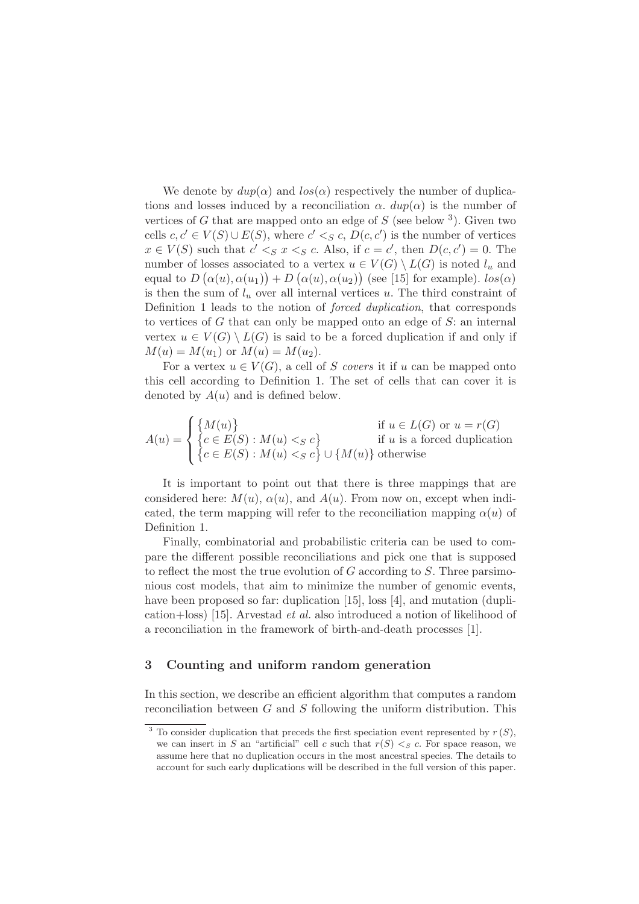We denote by  $dup(\alpha)$  and  $los(\alpha)$  respectively the number of duplications and losses induced by a reconciliation  $\alpha$ .  $dup(\alpha)$  is the number of vertices of  $G$  that are mapped onto an edge of  $S$  (see below <sup>3</sup>). Given two cells  $c, c' \in V(S) \cup E(S)$ , where  $c' <sub>S</sub> c$ ,  $D(c, c')$  is the number of vertices  $x \in V(S)$  such that  $c' <sub>S</sub> x <sub>S</sub> c$ . Also, if  $c = c'$ , then  $D(c, c') = 0$ . The number of losses associated to a vertex  $u \in V(G) \setminus L(G)$  is noted  $l_u$  and equal to  $D(\alpha(u), \alpha(u_1)) + D(\alpha(u), \alpha(u_2))$  (see [15] for example).  $los(\alpha)$ is then the sum of  $l_u$  over all internal vertices u. The third constraint of Definition 1 leads to the notion of forced duplication, that corresponds to vertices of  $G$  that can only be mapped onto an edge of  $S$ : an internal vertex  $u \in V(G) \setminus L(G)$  is said to be a forced duplication if and only if  $M(u) = M(u_1)$  or  $M(u) = M(u_2)$ .

For a vertex  $u \in V(G)$ , a cell of S covers it if u can be mapped onto this cell according to Definition 1. The set of cells that can cover it is denoted by  $A(u)$  and is defined below.

$$
A(u) = \begin{cases} \{M(u)\} & \text{if } u \in L(G) \text{ or } u = r(G) \\ \{c \in E(S) : M(u) <_{S} c\} & \text{if } u \text{ is a forced duplication} \\ \{c \in E(S) : M(u) <_{S} c\} \cup \{M(u)\} \text{ otherwise} \end{cases}
$$

It is important to point out that there is three mappings that are considered here:  $M(u)$ ,  $\alpha(u)$ , and  $A(u)$ . From now on, except when indicated, the term mapping will refer to the reconciliation mapping  $\alpha(u)$  of Definition 1.

Finally, combinatorial and probabilistic criteria can be used to compare the different possible reconciliations and pick one that is supposed to reflect the most the true evolution of  $G$  according to  $S$ . Three parsimonious cost models, that aim to minimize the number of genomic events, have been proposed so far: duplication [15], loss [4], and mutation (duplication+loss) [15]. Arvestad et al. also introduced a notion of likelihood of a reconciliation in the framework of birth-and-death processes [1].

# 3 Counting and uniform random generation

In this section, we describe an efficient algorithm that computes a random reconciliation between  $G$  and  $S$  following the uniform distribution. This

<sup>&</sup>lt;sup>3</sup> To consider duplication that preceds the first speciation event represented by  $r(S)$ , we can insert in S an "artificial" cell c such that  $r(S) \leq_S c$ . For space reason, we assume here that no duplication occurs in the most ancestral species. The details to account for such early duplications will be described in the full version of this paper.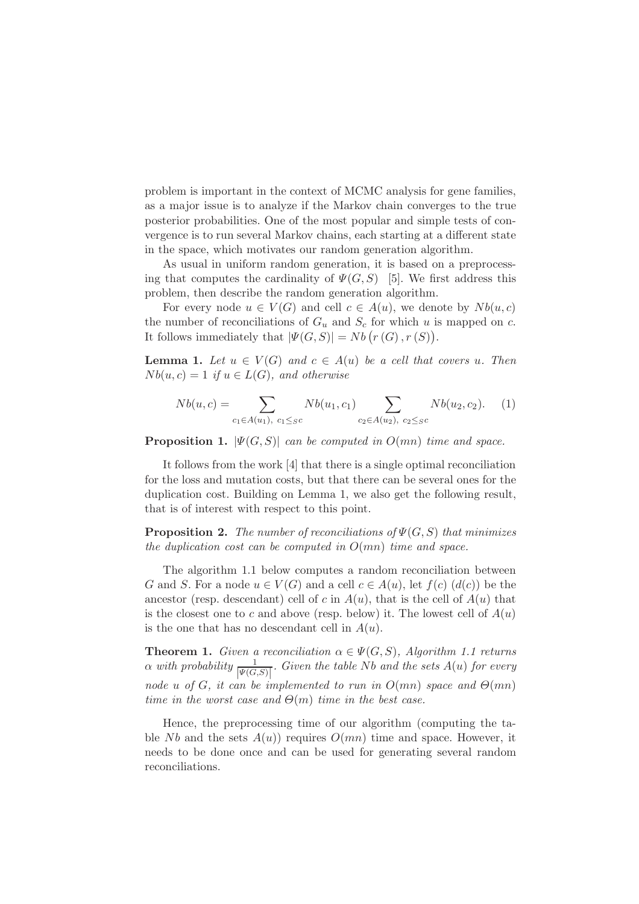problem is important in the context of MCMC analysis for gene families, as a major issue is to analyze if the Markov chain converges to the true posterior probabilities. One of the most popular and simple tests of convergence is to run several Markov chains, each starting at a different state in the space, which motivates our random generation algorithm.

As usual in uniform random generation, it is based on a preprocessing that computes the cardinality of  $\Psi(G, S)$  [5]. We first address this problem, then describe the random generation algorithm.

For every node  $u \in V(G)$  and cell  $c \in A(u)$ , we denote by  $Nb(u, c)$ the number of reconciliations of  $G_u$  and  $S_c$  for which u is mapped on c. It follows immediately that  $|\Psi(G, S)| = Nb(r(G), r(S)).$ 

**Lemma 1.** Let  $u \in V(G)$  and  $c \in A(u)$  be a cell that covers u. Then  $Nb(u, c) = 1$  if  $u \in L(G)$ , and otherwise

$$
Nb(u,c) = \sum_{c_1 \in A(u_1), c_1 \leq_S c} Nb(u_1, c_1) \sum_{c_2 \in A(u_2), c_2 \leq_S c} Nb(u_2, c_2). \tag{1}
$$

**Proposition 1.**  $|\Psi(G, S)|$  can be computed in  $O(mn)$  time and space.

It follows from the work [4] that there is a single optimal reconciliation for the loss and mutation costs, but that there can be several ones for the duplication cost. Building on Lemma 1, we also get the following result, that is of interest with respect to this point.

**Proposition 2.** The number of reconciliations of  $\Psi(G, S)$  that minimizes the duplication cost can be computed in  $O(mn)$  time and space.

The algorithm 1.1 below computes a random reconciliation between G and S. For a node  $u \in V(G)$  and a cell  $c \in A(u)$ , let  $f(c)$   $(d(c))$  be the ancestor (resp. descendant) cell of c in  $A(u)$ , that is the cell of  $A(u)$  that is the closest one to c and above (resp. below) it. The lowest cell of  $A(u)$ is the one that has no descendant cell in  $A(u)$ .

**Theorem 1.** Given a reconciliation  $\alpha \in \Psi(G, S)$ , Algorithm 1.1 returns  $\alpha$  with probability  $\frac{1}{\vert \Psi (G,S) \vert}$ . Given the table Nb and the sets  $A(u)$  for every node u of G, it can be implemented to run in  $O(mn)$  space and  $\Theta(mn)$ time in the worst case and  $\Theta(m)$  time in the best case.

Hence, the preprocessing time of our algorithm (computing the table Nb and the sets  $A(u)$  requires  $O(mn)$  time and space. However, it needs to be done once and can be used for generating several random reconciliations.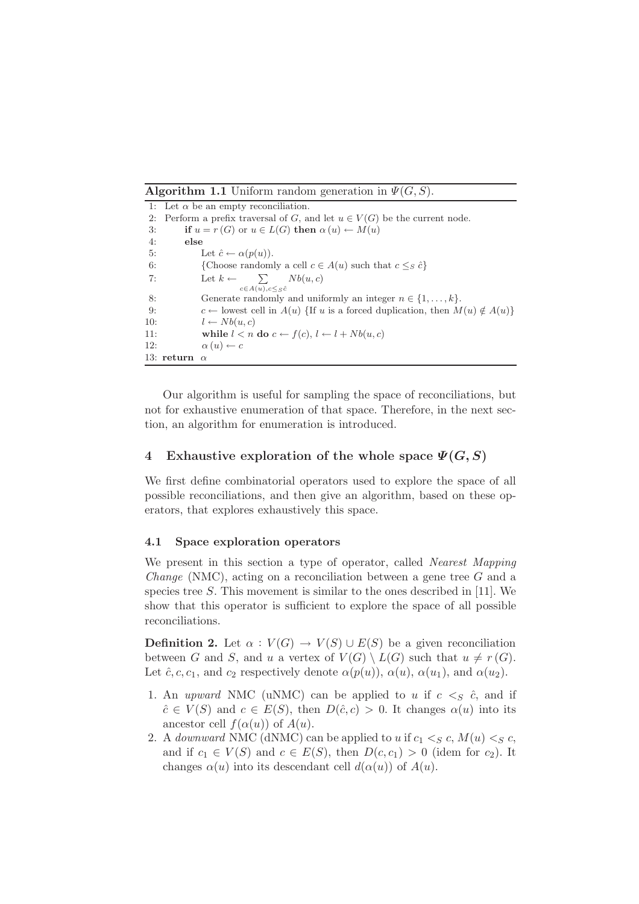**Algorithm 1.1** Uniform random generation in  $\Psi(G, S)$ .

```
1: Let \alpha be an empty reconciliation.
2: Perform a prefix traversal of G, and let u \in V(G) be the current node.
3: if u = r(G) or u \in L(G) then \alpha(u) \leftarrow M(u)4: else
5: Let \hat{c} \leftarrow \alpha(p(u)).
6: {Choose randomly a cell c \in A(u) such that c \leq s \hat{c}}
7: Let k \leftarrow\sum_{c \in A(u), c \leq S\hat{c}}Nb(u, c)8: Generate randomly and uniformly an integer n \in \{1, \ldots, k\}.
9: c ← lowest cell in A(u) {If u is a forced duplication, then M(u) \notin A(u)}
10: l \leftarrow Nb(u, c)11: while l < n do c \leftarrow f(c), l \leftarrow l + Nb(u, c)12: \alpha(u) \leftarrow c13: return α
```
Our algorithm is useful for sampling the space of reconciliations, but not for exhaustive enumeration of that space. Therefore, in the next section, an algorithm for enumeration is introduced.

# 4 Exhaustive exploration of the whole space  $\Psi(G, S)$

We first define combinatorial operators used to explore the space of all possible reconciliations, and then give an algorithm, based on these operators, that explores exhaustively this space.

## 4.1 Space exploration operators

We present in this section a type of operator, called *Nearest Mapping Change* (NMC), acting on a reconciliation between a gene tree  $G$  and a species tree  $S$ . This movement is similar to the ones described in [11]. We show that this operator is sufficient to explore the space of all possible reconciliations.

**Definition 2.** Let  $\alpha: V(G) \to V(S) \cup E(S)$  be a given reconciliation between G and S, and u a vertex of  $V(G) \setminus L(G)$  such that  $u \neq r(G)$ . Let  $\hat{c}, c, c_1$ , and  $c_2$  respectively denote  $\alpha(p(u))$ ,  $\alpha(u)$ ,  $\alpha(u_1)$ , and  $\alpha(u_2)$ .

- 1. An upward NMC (uNMC) can be applied to u if  $c \leq_S \hat{c}$ , and if  $\hat{c} \in V(S)$  and  $c \in E(S)$ , then  $D(\hat{c}, c) > 0$ . It changes  $\alpha(u)$  into its ancestor cell  $f(\alpha(u))$  of  $A(u)$ .
- 2. A downward NMC (dNMC) can be applied to u if  $c_1 \leq_S c$ ,  $M(u) \leq_S c$ , and if  $c_1 \in V(S)$  and  $c \in E(S)$ , then  $D(c, c_1) > 0$  (idem for  $c_2$ ). It changes  $\alpha(u)$  into its descendant cell  $d(\alpha(u))$  of  $A(u)$ .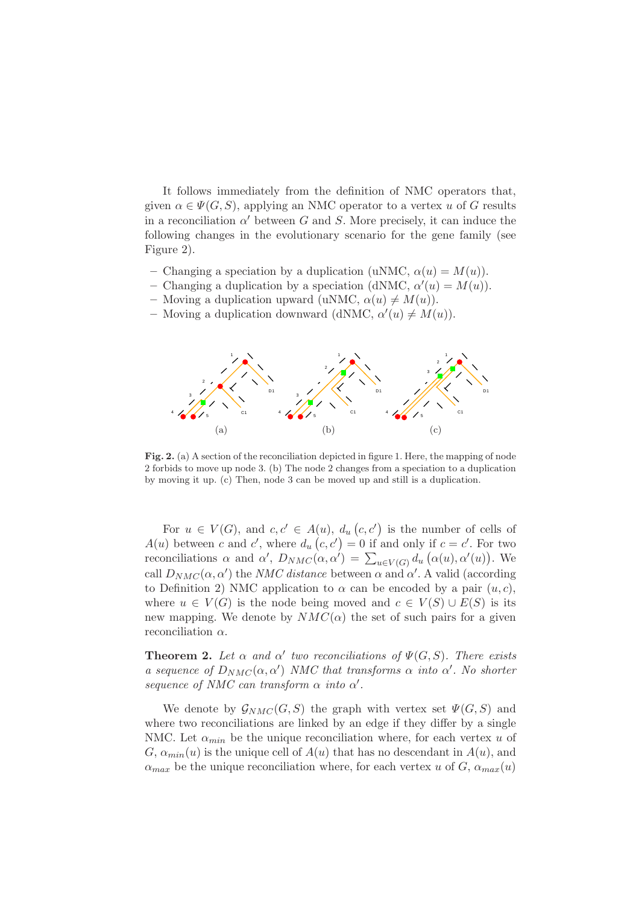It follows immediately from the definition of NMC operators that, given  $\alpha \in \Psi(G, S)$ , applying an NMC operator to a vertex u of G results in a reconciliation  $\alpha'$  between G and S. More precisely, it can induce the following changes in the evolutionary scenario for the gene family (see Figure 2).

- Changing a speciation by a duplication (uNMC,  $\alpha(u) = M(u)$ ).
- Changing a duplication by a speciation (dNMC,  $\alpha'(u) = M(u)$ ).
- Moving a duplication upward (uNMC,  $\alpha(u) \neq M(u)$ ).
- Moving a duplication downward (dNMC,  $\alpha'(u) \neq M(u)$ ).



Fig. 2. (a) A section of the reconciliation depicted in figure 1. Here, the mapping of node 2 forbids to move up node 3. (b) The node 2 changes from a speciation to a duplication by moving it up. (c) Then, node 3 can be moved up and still is a duplication.

For  $u \in V(G)$ , and  $c, c' \in A(u)$ ,  $d_u(c, c')$  is the number of cells of  $A(u)$  between c and c', where  $d_u(c, c') = 0$  if and only if  $c = c'$ . For two reconciliations  $\alpha$  and  $\alpha'$ ,  $D_{NMC}(\alpha, \alpha') = \sum_{u \in V(G)} d_u (\alpha(u), \alpha'(u))$ . We call  $D_{NMC}(\alpha, \alpha')$  the *NMC distance* between  $\alpha$  and  $\alpha'$ . A valid (according to Definition 2) NMC application to  $\alpha$  can be encoded by a pair  $(u, c)$ , where  $u \in V(G)$  is the node being moved and  $c \in V(S) \cup E(S)$  is its new mapping. We denote by  $NMC(\alpha)$  the set of such pairs for a given reconciliation  $\alpha$ .

**Theorem 2.** Let  $\alpha$  and  $\alpha'$  two reconciliations of  $\Psi(G, S)$ . There exists a sequence of  $D_{NMC}(\alpha, \alpha')$  NMC that transforms  $\alpha$  into  $\alpha'$ . No shorter sequence of NMC can transform  $\alpha$  into  $\alpha'$ .

We denote by  $\mathcal{G}_{NMC}(G, S)$  the graph with vertex set  $\Psi(G, S)$  and where two reconciliations are linked by an edge if they differ by a single NMC. Let  $\alpha_{min}$  be the unique reconciliation where, for each vertex u of  $G, \alpha_{min}(u)$  is the unique cell of  $A(u)$  that has no descendant in  $A(u)$ , and  $\alpha_{max}$  be the unique reconciliation where, for each vertex u of G,  $\alpha_{max}(u)$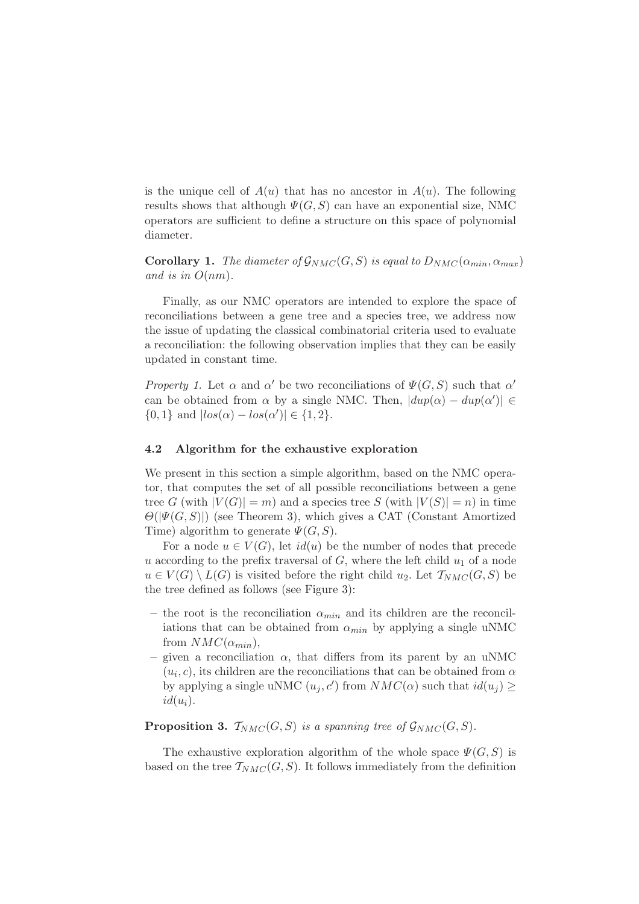is the unique cell of  $A(u)$  that has no ancestor in  $A(u)$ . The following results shows that although  $\Psi(G, S)$  can have an exponential size, NMC operators are sufficient to define a structure on this space of polynomial diameter.

**Corollary 1.** The diameter of  $\mathcal{G}_{NMC}(G, S)$  is equal to  $D_{NMC}(\alpha_{min}, \alpha_{max})$ and is in  $O(nm)$ .

Finally, as our NMC operators are intended to explore the space of reconciliations between a gene tree and a species tree, we address now the issue of updating the classical combinatorial criteria used to evaluate a reconciliation: the following observation implies that they can be easily updated in constant time.

Property 1. Let  $\alpha$  and  $\alpha'$  be two reconciliations of  $\Psi(G, S)$  such that  $\alpha'$ can be obtained from  $\alpha$  by a single NMC. Then,  $|dup(\alpha) - dup(\alpha')| \in$  $\{0, 1\}$  and  $|los(\alpha) - los(\alpha')| \in \{1, 2\}.$ 

#### 4.2 Algorithm for the exhaustive exploration

We present in this section a simple algorithm, based on the NMC operator, that computes the set of all possible reconciliations between a gene tree G (with  $|V(G)| = m$ ) and a species tree S (with  $|V(S)| = n$ ) in time  $\Theta(|\Psi(G, S)|)$  (see Theorem 3), which gives a CAT (Constant Amortized Time) algorithm to generate  $\Psi(G, S)$ .

For a node  $u \in V(G)$ , let  $id(u)$  be the number of nodes that precede u according to the prefix traversal of  $G$ , where the left child  $u_1$  of a node  $u \in V(G) \setminus L(G)$  is visited before the right child  $u_2$ . Let  $\mathcal{T}_{NMC}(G, S)$  be the tree defined as follows (see Figure 3):

- the root is the reconciliation  $\alpha_{min}$  and its children are the reconciliations that can be obtained from  $\alpha_{min}$  by applying a single uNMC from  $NMC(\alpha_{min}),$
- given a reconciliation  $\alpha$ , that differs from its parent by an uNMC  $(u_i, c)$ , its children are the reconciliations that can be obtained from  $\alpha$ by applying a single uNMC  $(u_j, c')$  from  $NMC(\alpha)$  such that  $id(u_j) \geq$  $id(u_i)$ .

# **Proposition 3.**  $T_{NMC}(G, S)$  is a spanning tree of  $\mathcal{G}_{NMC}(G, S)$ .

The exhaustive exploration algorithm of the whole space  $\Psi(G, S)$  is based on the tree  $T_{NMC}(G, S)$ . It follows immediately from the definition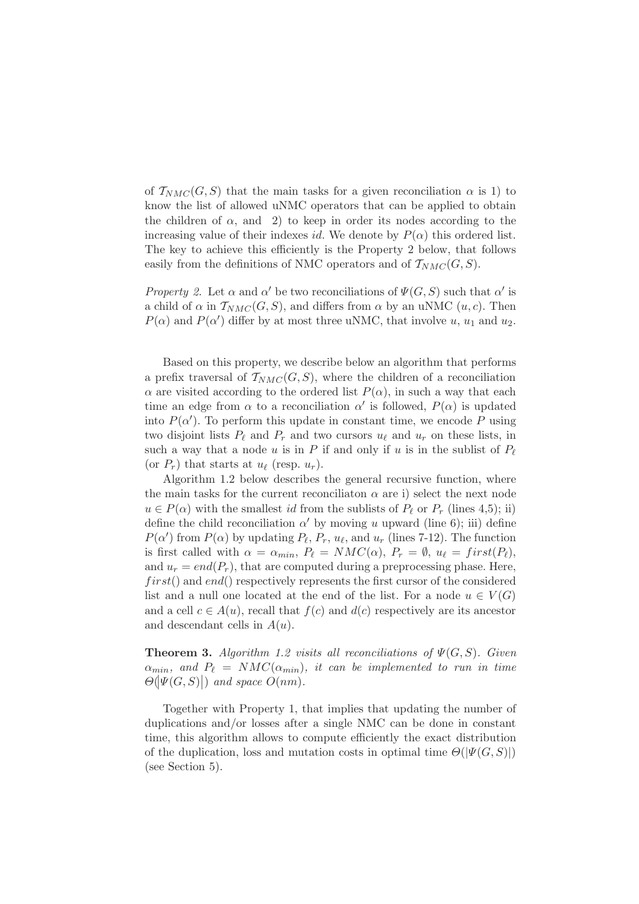of  $\mathcal{T}_{NMC}(G, S)$  that the main tasks for a given reconciliation  $\alpha$  is 1) to know the list of allowed uNMC operators that can be applied to obtain the children of  $\alpha$ , and 2) to keep in order its nodes according to the increasing value of their indexes id. We denote by  $P(\alpha)$  this ordered list. The key to achieve this efficiently is the Property 2 below, that follows easily from the definitions of NMC operators and of  $T_{NMC}(G, S)$ .

Property 2. Let  $\alpha$  and  $\alpha'$  be two reconciliations of  $\Psi(G, S)$  such that  $\alpha'$  is a child of  $\alpha$  in  $\mathcal{T}_{NMC}(G, S)$ , and differs from  $\alpha$  by an uNMC  $(u, c)$ . Then  $P(\alpha)$  and  $P(\alpha')$  differ by at most three uNMC, that involve u, u<sub>1</sub> and u<sub>2</sub>.

Based on this property, we describe below an algorithm that performs a prefix traversal of  $T_{NMC}(G, S)$ , where the children of a reconciliation  $\alpha$  are visited according to the ordered list  $P(\alpha)$ , in such a way that each time an edge from  $\alpha$  to a reconciliation  $\alpha'$  is followed,  $P(\alpha)$  is updated into  $P(\alpha')$ . To perform this update in constant time, we encode P using two disjoint lists  $P_{\ell}$  and  $P_r$  and two cursors  $u_{\ell}$  and  $u_r$  on these lists, in such a way that a node u is in P if and only if u is in the sublist of  $P_{\ell}$ (or  $P_r$ ) that starts at  $u_\ell$  (resp.  $u_r$ ).

Algorithm 1.2 below describes the general recursive function, where the main tasks for the current reconciliaton  $\alpha$  are i) select the next node  $u \in P(\alpha)$  with the smallest *id* from the sublists of  $P_\ell$  or  $P_r$  (lines 4,5); ii) define the child reconciliation  $\alpha'$  by moving u upward (line 6); iii) define  $P(\alpha)$  from  $P(\alpha)$  by updating  $P_{\ell}, P_r, u_{\ell}$ , and  $u_r$  (lines 7-12). The function is first called with  $\alpha = \alpha_{min}$ ,  $P_{\ell} = NMC(\alpha)$ ,  $P_r = \emptyset$ ,  $u_{\ell} = first(P_{\ell})$ , and  $u_r = end(P_r)$ , that are computed during a preprocessing phase. Here,  $first()$  and  $end()$  respectively represents the first cursor of the considered list and a null one located at the end of the list. For a node  $u \in V(G)$ and a cell  $c \in A(u)$ , recall that  $f(c)$  and  $d(c)$  respectively are its ancestor and descendant cells in  $A(u)$ .

**Theorem 3.** Algorithm 1.2 visits all reconciliations of  $\Psi(G, S)$ . Given  $\alpha_{min}$ , and  $P_{\ell} = NMC(\alpha_{min})$ , it can be implemented to run in time  $\Theta(\Psi(G, S))$  and space  $O(nm)$ .

Together with Property 1, that implies that updating the number of duplications and/or losses after a single NMC can be done in constant time, this algorithm allows to compute efficiently the exact distribution of the duplication, loss and mutation costs in optimal time  $\Theta(|\Psi(G, S)|)$ (see Section 5).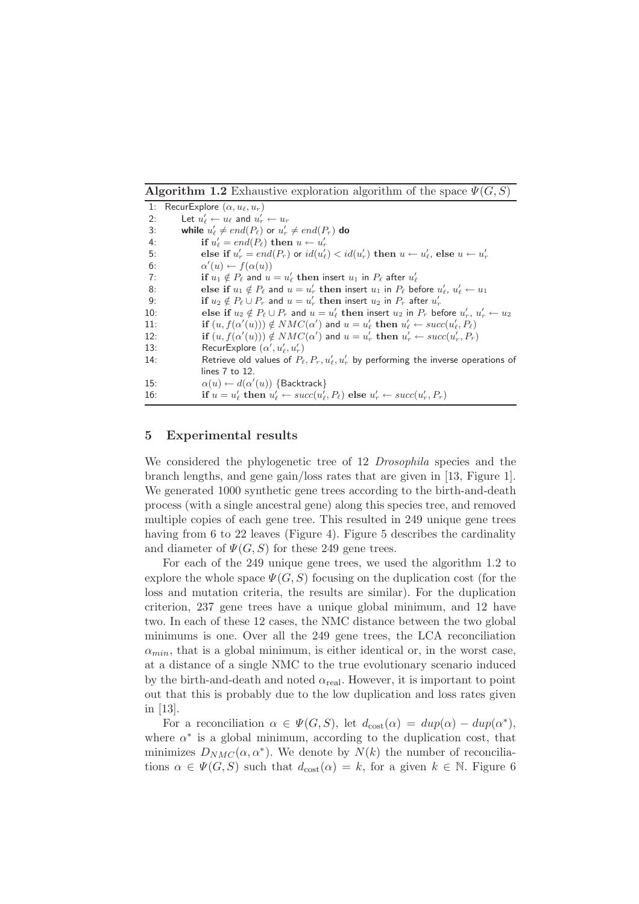**Algorithm 1.2** Exhaustive exploration algorithm of the space  $\Psi(G, S)$ 

|     | 1: RecurExplore $(\alpha, u_\ell, u_r)$                                                                              |
|-----|----------------------------------------------------------------------------------------------------------------------|
| 2:  | Let $u'_{\ell} \leftarrow u_{\ell}$ and $u'_{r} \leftarrow u_{r}$                                                    |
| 3:  | while $u'_{\ell} \neq end(P_{\ell})$ or $u'_{r} \neq end(P_{r})$ do                                                  |
| 4:  | if $u'_\ell = end(P_\ell)$ then $u \leftarrow u'_r$                                                                  |
| 5:  | else if $u'_r = end(P_r)$ or $id(u'_\ell) < id(u'_r)$ then $u \leftarrow u'_\ell$ , else $u \leftarrow u'_r$         |
| 6:  | $\alpha'(u) \leftarrow f(\alpha(u))$                                                                                 |
| 7:  | if $u_1 \notin P_\ell$ and $u = u'_\ell$ then insert $u_1$ in $P_\ell$ after $u'_\ell$                               |
| 8:  | else if $u_1 \notin P_\ell$ and $u = u'_r$ then insert $u_1$ in $P_\ell$ before $u'_\ell, u'_\ell \leftarrow u_1$    |
| -9: | if $u_2 \notin P_\ell \cup P_r$ and $u = u'_r$ then insert $u_2$ in $P_r$ after $u'_r$                               |
| 10: | else if $u_2 \notin P_\ell \cup P_r$ and $u = u'_\ell$ then insert $u_2$ in $P_r$ before $u'_r, u'_r \leftarrow u_2$ |
| 11: | if $(u, f(\alpha'(u))) \notin NMC(\alpha')$ and $u = u'_\ell$ then $u'_\ell \leftarrow succ(u'_\ell, P_\ell)$        |
| 12: | if $(u, f(\alpha'(u))) \notin NMC(\alpha')$ and $u = u'_r$ then $u'_r \leftarrow succ(u'_r, P_r)$                    |
| 13: | RecurExplore $(\alpha', u'_\ell, u'_r)$                                                                              |
| 14: | Retrieve old values of $P_{\ell}, P_{r}, u'_{\ell}, u'_{r}$ by performing the inverse operations of                  |
|     | lines 7 to 12.                                                                                                       |
| 15: | $\alpha(u) \leftarrow d(\alpha'(u))$ {Backtrack}                                                                     |
| 16: | if $u = u'_\ell$ then $u'_\ell \leftarrow succ(u'_\ell, P_\ell)$ else $u'_r \leftarrow succ(u'_r, P_r)$              |

#### 5 Experimental results

We considered the phylogenetic tree of 12 Drosophila species and the branch lengths, and gene gain/loss rates that are given in [13, Figure 1]. We generated 1000 synthetic gene trees according to the birth-and-death process (with a single ancestral gene) along this species tree, and removed multiple copies of each gene tree. This resulted in 249 unique gene trees having from 6 to 22 leaves (Figure 4). Figure 5 describes the cardinality and diameter of  $\Psi(G, S)$  for these 249 gene trees.

For each of the 249 unique gene trees, we used the algorithm 1.2 to explore the whole space  $\Psi(G, S)$  focusing on the duplication cost (for the loss and mutation criteria, the results are similar). For the duplication criterion, 237 gene trees have a unique global minimum, and 12 have two. In each of these 12 cases, the NMC distance between the two global minimums is one. Over all the 249 gene trees, the LCA reconciliation  $\alpha_{min}$ , that is a global minimum, is either identical or, in the worst case, at a distance of a single NMC to the true evolutionary scenario induced by the birth-and-death and noted  $\alpha_{\text{real}}$ . However, it is important to point out that this is probably due to the low duplication and loss rates given in [13].

For a reconciliation  $\alpha \in \Psi(G, S)$ , let  $d_{\text{cost}}(\alpha) = \text{d}up(\alpha) - \text{d}up(\alpha^*),$ where  $\alpha^*$  is a global minimum, according to the duplication cost, that minimizes  $D_{NMC}(\alpha, \alpha^*)$ . We denote by  $N(k)$  the number of reconciliations  $\alpha \in \Psi(G, S)$  such that  $d_{\text{cost}}(\alpha) = k$ , for a given  $k \in \mathbb{N}$ . Figure 6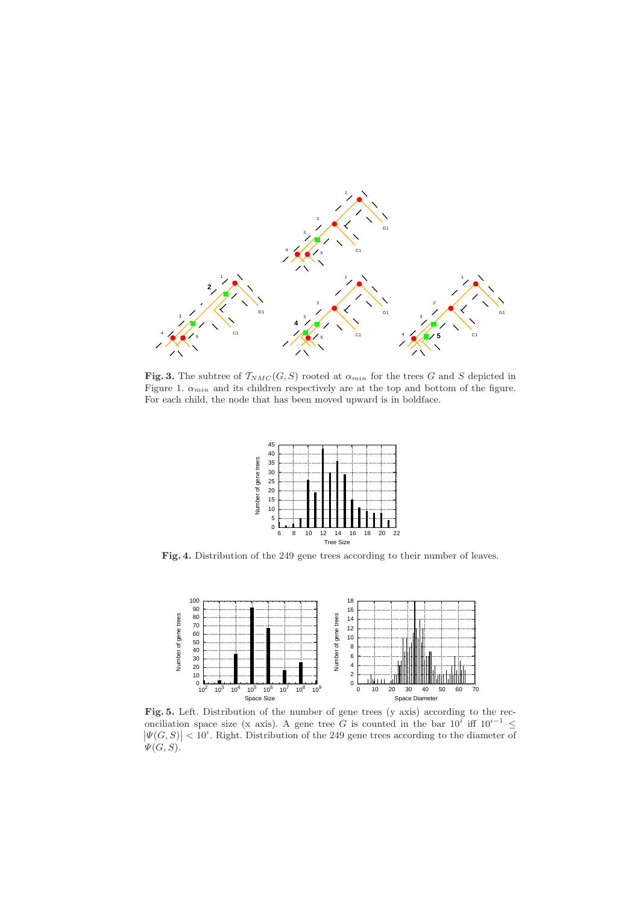

Fig. 3. The subtree of  $T_{NMC}(G, S)$  rooted at  $\alpha_{min}$  for the trees G and S depicted in Figure 1.  $\alpha_{min}$  and its children respectively are at the top and bottom of the figure. For each child, the node that has been moved upward is in boldface.



Fig. 4. Distribution of the 249 gene trees according to their number of leaves.



Fig. 5. Left. Distribution of the number of gene trees (y axis) according to the reconciliation space size (x axis). A gene tree G is counted in the bar  $10^i$  iff  $10^{i-1} \le$  $|\Psi(G, S)| < 10^i$ . Right. Distribution of the 249 gene trees according to the diameter of  $\Psi(G, S)$ .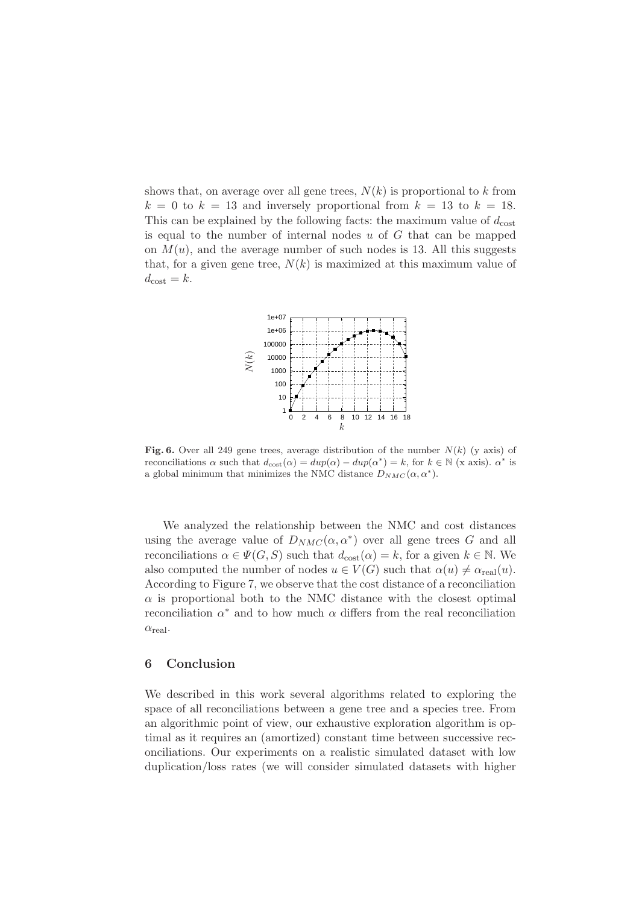shows that, on average over all gene trees,  $N(k)$  is proportional to k from  $k = 0$  to  $k = 13$  and inversely proportional from  $k = 13$  to  $k = 18$ . This can be explained by the following facts: the maximum value of  $d_{\text{cost}}$ is equal to the number of internal nodes  $u$  of  $G$  that can be mapped on  $M(u)$ , and the average number of such nodes is 13. All this suggests that, for a given gene tree,  $N(k)$  is maximized at this maximum value of  $d_{\text{cost}} = k$ .



Fig. 6. Over all 249 gene trees, average distribution of the number  $N(k)$  (y axis) of reconciliations  $\alpha$  such that  $d_{\text{cost}}(\alpha) = \text{dup}(\alpha) - \text{dup}(\alpha^*) = k$ , for  $k \in \mathbb{N}$  (x axis).  $\alpha^*$  is a global minimum that minimizes the NMC distance  $D_{NMC}(\alpha, \alpha^*)$ .

We analyzed the relationship between the NMC and cost distances using the average value of  $D_{NMC}(\alpha, \alpha^*)$  over all gene trees G and all reconciliations  $\alpha \in \Psi(G, S)$  such that  $d_{\text{cost}}(\alpha) = k$ , for a given  $k \in \mathbb{N}$ . We also computed the number of nodes  $u \in V(G)$  such that  $\alpha(u) \neq \alpha_{\text{real}}(u)$ . According to Figure 7, we observe that the cost distance of a reconciliation  $\alpha$  is proportional both to the NMC distance with the closest optimal reconciliation  $\alpha^*$  and to how much  $\alpha$  differs from the real reconciliation  $\alpha_{\text{real}}$ .

# 6 Conclusion

We described in this work several algorithms related to exploring the space of all reconciliations between a gene tree and a species tree. From an algorithmic point of view, our exhaustive exploration algorithm is optimal as it requires an (amortized) constant time between successive reconciliations. Our experiments on a realistic simulated dataset with low duplication/loss rates (we will consider simulated datasets with higher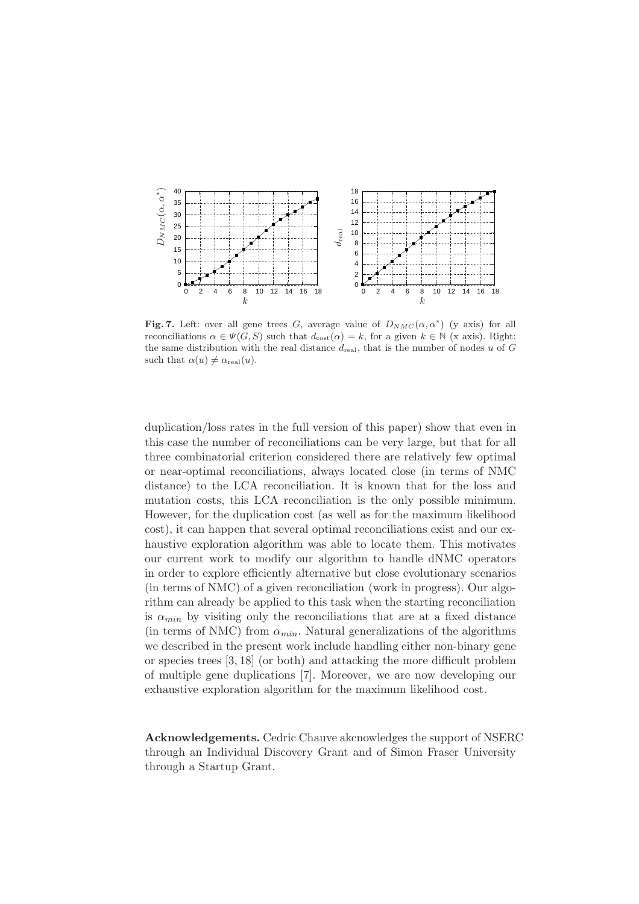

Fig. 7. Left: over all gene trees G, average value of  $D_{NMC}(\alpha, \alpha^*)$  (y axis) for all reconciliations  $\alpha \in \Psi(G, S)$  such that  $d_{\text{cost}}(\alpha) = k$ , for a given  $k \in \mathbb{N}$  (x axis). Right: the same distribution with the real distance  $d_{\text{real}}$ , that is the number of nodes u of G such that  $\alpha(u) \neq \alpha_{\text{real}}(u)$ .

duplication/loss rates in the full version of this paper) show that even in this case the number of reconciliations can be very large, but that for all three combinatorial criterion considered there are relatively few optimal or near-optimal reconciliations, always located close (in terms of NMC distance) to the LCA reconciliation. It is known that for the loss and mutation costs, this LCA reconciliation is the only possible minimum. However, for the duplication cost (as well as for the maximum likelihood cost), it can happen that several optimal reconciliations exist and our exhaustive exploration algorithm was able to locate them. This motivates our current work to modify our algorithm to handle dNMC operators in order to explore efficiently alternative but close evolutionary scenarios (in terms of NMC) of a given reconciliation (work in progress). Our algorithm can already be applied to this task when the starting reconciliation is  $\alpha_{min}$  by visiting only the reconciliations that are at a fixed distance (in terms of NMC) from  $\alpha_{min}$ . Natural generalizations of the algorithms we described in the present work include handling either non-binary gene or species trees [3, 18] (or both) and attacking the more difficult problem of multiple gene duplications [7]. Moreover, we are now developing our exhaustive exploration algorithm for the maximum likelihood cost.

Acknowledgements. Cedric Chauve akcnowledges the support of NSERC through an Individual Discovery Grant and of Simon Fraser University through a Startup Grant.